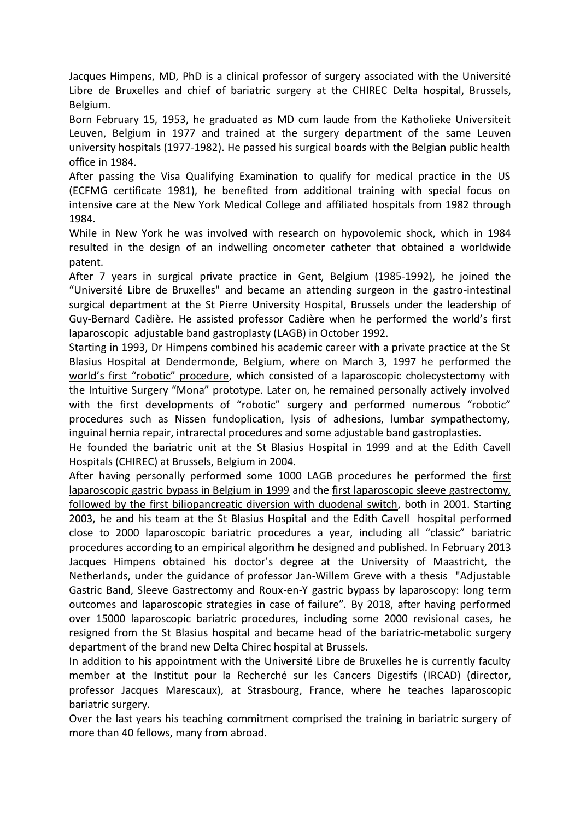Jacques Himpens, MD, PhD is a clinical professor of surgery associated with the Université Libre de Bruxelles and chief of bariatric surgery at the CHIREC Delta hospital, Brussels, Belgium.

Born February 15, 1953, he graduated as MD cum laude from the Katholieke Universiteit Leuven, Belgium in 1977 and trained at the surgery department of the same Leuven university hospitals (1977-1982). He passed his surgical boards with the Belgian public health office in 1984.

After passing the Visa Qualifying Examination to qualify for medical practice in the US (ECFMG certificate 1981), he benefited from additional training with special focus on intensive care at the New York Medical College and affiliated hospitals from 1982 through 1984.

While in New York he was involved with research on hypovolemic shock, which in 1984 resulted in the design of an indwelling oncometer catheter that obtained a worldwide patent.

After 7 years in surgical private practice in Gent, Belgium (1985-1992), he joined the "Université Libre de Bruxelles" and became an attending surgeon in the gastro-intestinal surgical department at the St Pierre University Hospital, Brussels under the leadership of Guy-Bernard Cadière. He assisted professor Cadière when he performed the world's first laparoscopic adjustable band gastroplasty (LAGB) in October 1992.

Starting in 1993, Dr Himpens combined his academic career with a private practice at the St Blasius Hospital at Dendermonde, Belgium, where on March 3, 1997 he performed the world's first "robotic" procedure, which consisted of a laparoscopic cholecystectomy with the Intuitive Surgery "Mona" prototype. Later on, he remained personally actively involved with the first developments of "robotic" surgery and performed numerous "robotic" procedures such as Nissen fundoplication, lysis of adhesions, lumbar sympathectomy, inguinal hernia repair, intrarectal procedures and some adjustable band gastroplasties.

He founded the bariatric unit at the St Blasius Hospital in 1999 and at the Edith Cavell Hospitals (CHIREC) at Brussels, Belgium in 2004.

After having personally performed some 1000 LAGB procedures he performed the first laparoscopic gastric bypass in Belgium in 1999 and the first laparoscopic sleeve gastrectomy, followed by the first biliopancreatic diversion with duodenal switch, both in 2001. Starting 2003, he and his team at the St Blasius Hospital and the Edith Cavell hospital performed close to 2000 laparoscopic bariatric procedures a year, including all "classic" bariatric procedures according to an empirical algorithm he designed and published. In February 2013 Jacques Himpens obtained his doctor's degree at the University of Maastricht, the Netherlands, under the guidance of professor Jan-Willem Greve with a thesis "Adjustable Gastric Band, Sleeve Gastrectomy and Roux-en-Y gastric bypass by laparoscopy: long term outcomes and laparoscopic strategies in case of failure". By 2018, after having performed over 15000 laparoscopic bariatric procedures, including some 2000 revisional cases, he resigned from the St Blasius hospital and became head of the bariatric-metabolic surgery department of the brand new Delta Chirec hospital at Brussels.

In addition to his appointment with the Université Libre de Bruxelles he is currently faculty member at the Institut pour la Recherché sur les Cancers Digestifs (IRCAD) (director, professor Jacques Marescaux), at Strasbourg, France, where he teaches laparoscopic bariatric surgery.

Over the last years his teaching commitment comprised the training in bariatric surgery of more than 40 fellows, many from abroad.